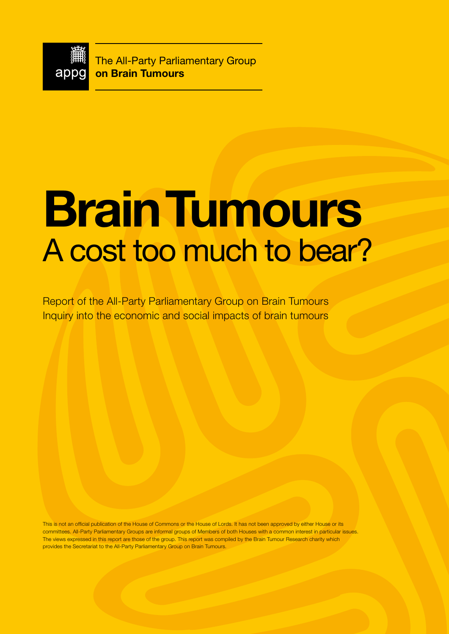

The All-Party Parliamentary Group **on Brain Tumours**

# **Brain Tumours**  A cost too much to bear?

Report of the All-Party Parliamentary Group on Brain Tumours Inquiry into the economic and social impacts of brain tumours

This is not an official publication of the House of Commons or the House of Lords. It has not been approved by either House or its committees. All-Party Parliamentary Groups are informal groups of Members of both Houses with a common interest in particular issues. The views expressed in this report are those of the group. This report was compiled by the Brain Tumour Research charity which provides the Secretariat to the All-Party Parliamentary Group on Brain Tumours.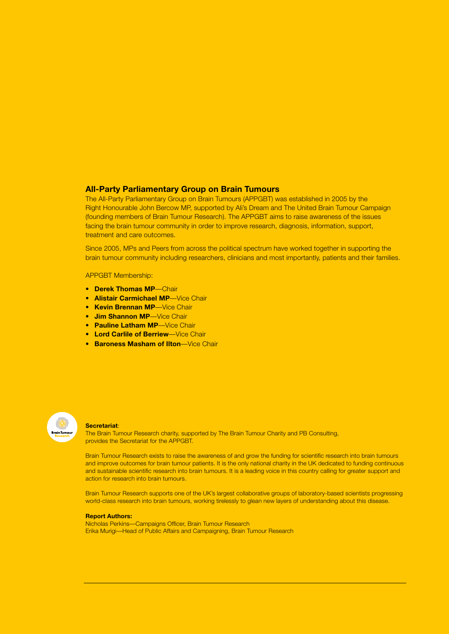# **All-Party Parliamentary Group on Brain Tumours**

The All-Party Parliamentary Group on Brain Tumours (APPGBT) was established in 2005 by the Right Honourable John Bercow MP, supported by Ali's Dream and The United Brain Tumour Campaign (founding members of Brain Tumour Research). The APPGBT aims to raise awareness of the issues facing the brain tumour community in order to improve research, diagnosis, information, support, treatment and care outcomes.

Since 2005, MPs and Peers from across the political spectrum have worked together in supporting the brain tumour community including researchers, clinicians and most importantly, patients and their families.

### APPGBT Membership:

- **Derek Thomas MP**—Chair
- **Alistair Carmichael MP**—Vice Chair
- **Kevin Brennan MP**—Vice Chair
- **Jim Shannon MP**—Vice Chair
- **Pauline Latham MP-Vice Chair**
- **Lord Carlile of Berriew**—Vice Chair
- **Baroness Masham of Ilton**—Vice Chair



#### **Secretariat**:

The Brain Tumour Research charity, supported by The Brain Tumour Charity and PB Consulting, provides the Secretariat for the APPGBT.

Brain Tumour Research exists to raise the awareness of and grow the funding for scientific research into brain tumours and improve outcomes for brain tumour patients. It is the only national charity in the UK dedicated to funding continuous and sustainable scientific research into brain tumours. It is a leading voice in this country calling for greater support and action for research into brain tumours.

Brain Tumour Research supports one of the UK's largest collaborative groups of laboratory-based scientists progressing world-class research into brain tumours, working tirelessly to glean new layers of understanding about this disease.

### **Report Authors:**

Nicholas Perkins—Campaigns Officer, Brain Tumour Research Erika Murigi—Head of Public Affairs and Campaigning, Brain Tumour Research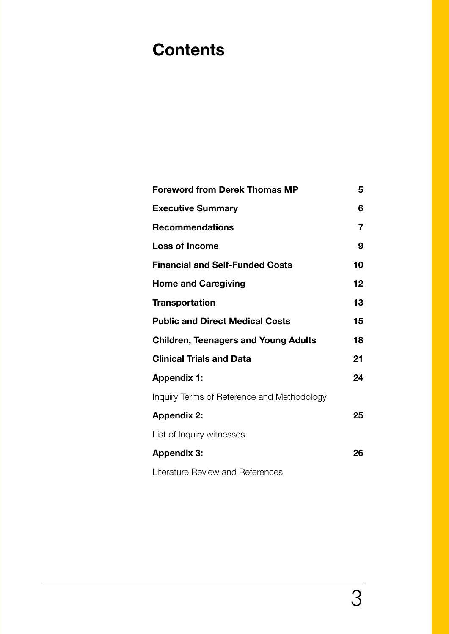# **Contents**

| <b>Foreword from Derek Thomas MP</b>        | 5  |
|---------------------------------------------|----|
| <b>Executive Summary</b>                    | 6  |
| <b>Recommendations</b>                      | 7  |
| <b>Loss of Income</b>                       | 9  |
| <b>Financial and Self-Funded Costs</b>      | 10 |
| <b>Home and Caregiving</b>                  | 12 |
| <b>Transportation</b>                       | 13 |
| <b>Public and Direct Medical Costs</b>      | 15 |
| <b>Children, Teenagers and Young Adults</b> | 18 |
| <b>Clinical Trials and Data</b>             | 21 |
| <b>Appendix 1:</b>                          | 24 |
| Inquiry Terms of Reference and Methodology  |    |
| <b>Appendix 2:</b>                          | 25 |
| List of Inquiry witnesses                   |    |
| <b>Appendix 3:</b>                          | 26 |
| Literature Review and References            |    |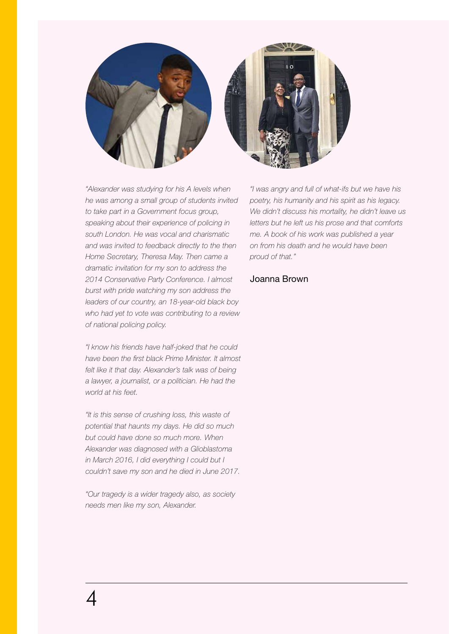

*"Alexander was studying for his A levels when he was among a small group of students invited to take part in a Government focus group, speaking about their experience of policing in south London. He was vocal and charismatic and was invited to feedback directly to the then Home Secretary, Theresa May. Then came a dramatic invitation for my son to address the 2014 Conservative Party Conference. I almost burst with pride watching my son address the leaders of our country, an 18-year-old black boy who had yet to vote was contributing to a review of national policing policy.*

*"I know his friends have half-joked that he could have been the first black Prime Minister. It almost*  felt like it that day. Alexander's talk was of being *a lawyer, a journalist, or a politician. He had the world at his feet.*

*"It is this sense of crushing loss, this waste of potential that haunts my days. He did so much but could have done so much more. When Alexander was diagnosed with a Glioblastoma in March 2016, I did everything I could but I couldn't save my son and he died in June 2017.*

*"Our tragedy is a wider tragedy also, as society needs men like my son, Alexander.*

*"I was angry and full of what-ifs but we have his poetry, his humanity and his spirit as his legacy. We didn't discuss his mortality, he didn't leave us letters but he left us his prose and that comforts me. A book of his work was published a year on from his death and he would have been proud of that."*

# Joanna Brown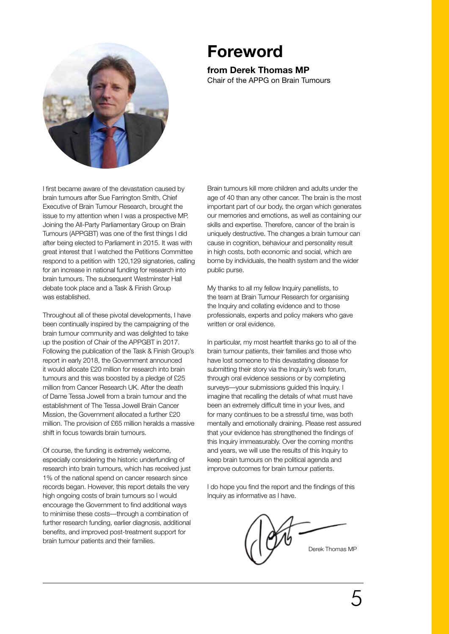# **Foreword**

# **from Derek Thomas MP** Chair of the APPG on Brain Tumours

I first became aware of the devastation caused by brain tumours after Sue Farrington Smith, Chief Executive of Brain Tumour Research, brought the issue to my attention when I was a prospective MP. Joining the All-Party Parliamentary Group on Brain Tumours (APPGBT) was one of the first things I did after being elected to Parliament in 2015. It was with great interest that I watched the Petitions Committee respond to a petition with 120,129 signatories, calling for an increase in national funding for research into brain tumours. The subsequent Westminster Hall debate took place and a Task & Finish Group was established.

Throughout all of these pivotal developments, I have been continually inspired by the campaigning of the brain tumour community and was delighted to take up the position of Chair of the APPGBT in 2017. Following the publication of the Task & Finish Group's report in early 2018, the Government announced it would allocate £20 million for research into brain tumours and this was boosted by a pledge of £25 million from Cancer Research UK. After the death of Dame Tessa Jowell from a brain tumour and the establishment of The Tessa Jowell Brain Cancer Mission, the Government allocated a further £20 million. The provision of £65 million heralds a massive shift in focus towards brain tumours.

Of course, the funding is extremely welcome, especially considering the historic underfunding of research into brain tumours, which has received just 1% of the national spend on cancer research since records began. However, this report details the very high ongoing costs of brain tumours so I would encourage the Government to find additional ways to minimise these costs—through a combination of further research funding, earlier diagnosis, additional benefits, and improved post-treatment support for brain tumour patients and their families.

Brain tumours kill more children and adults under the age of 40 than any other cancer. The brain is the most important part of our body, the organ which generates our memories and emotions, as well as containing our skills and expertise. Therefore, cancer of the brain is uniquely destructive. The changes a brain tumour can cause in cognition, behaviour and personality result in high costs, both economic and social, which are borne by individuals, the health system and the wider public purse.

My thanks to all my fellow Inquiry panellists, to the team at Brain Tumour Research for organising the Inquiry and collating evidence and to those professionals, experts and policy makers who gave written or oral evidence.

In particular, my most heartfelt thanks go to all of the brain tumour patients, their families and those who have lost someone to this devastating disease for submitting their story via the Inquiry's web forum, through oral evidence sessions or by completing surveys—your submissions guided this Inquiry. I imagine that recalling the details of what must have been an extremely difficult time in your lives, and for many continues to be a stressful time, was both mentally and emotionally draining. Please rest assured that your evidence has strengthened the findings of this Inquiry immeasurably. Over the coming months and years, we will use the results of this Inquiry to keep brain tumours on the political agenda and improve outcomes for brain tumour patients.

I do hope you find the report and the findings of this Inquiry as informative as I have.

Derek Thomas MP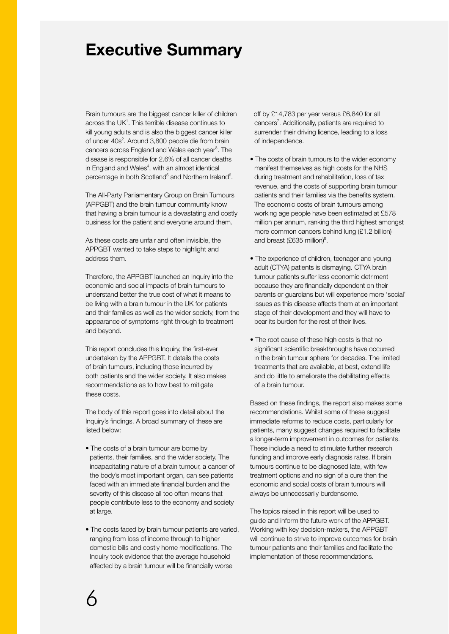# **Executive Summary**

Brain tumours are the biggest cancer killer of children across the UK<sup>1</sup>. This terrible disease continues to kill young adults and is also the biggest cancer killer of under 40s<sup>2</sup>. Around 3,800 people die from brain cancers across England and Wales each year<sup>3</sup>. The disease is responsible for 2.6% of all cancer deaths in England and Wales<sup>4</sup>, with an almost identical percentage in both Scotland<sup>5</sup> and Northern Ireland<sup>6</sup>.

The All-Party Parliamentary Group on Brain Tumours (APPGBT) and the brain tumour community know that having a brain tumour is a devastating and costly business for the patient and everyone around them.

As these costs are unfair and often invisible, the APPGBT wanted to take steps to highlight and address them.

Therefore, the APPGBT launched an Inquiry into the economic and social impacts of brain tumours to understand better the true cost of what it means to be living with a brain tumour in the UK for patients and their families as well as the wider society, from the appearance of symptoms right through to treatment and beyond.

This report concludes this Inquiry, the first-ever undertaken by the APPGBT. It details the costs of brain tumours, including those incurred by both patients and the wider society. It also makes recommendations as to how best to mitigate these costs.

The body of this report goes into detail about the Inquiry's findings. A broad summary of these are listed below:

- The costs of a brain tumour are borne by patients, their families, and the wider society. The incapacitating nature of a brain tumour, a cancer of the body's most important organ, can see patients faced with an immediate financial burden and the severity of this disease all too often means that people contribute less to the economy and society at large.
- The costs faced by brain tumour patients are varied, ranging from loss of income through to higher domestic bills and costly home modifications. The Inquiry took evidence that the average household affected by a brain tumour will be financially worse

 off by £14,783 per year versus £6,840 for all cancers<sup>7</sup>. Additionally, patients are required to surrender their driving licence, leading to a loss of independence.

- The costs of brain tumours to the wider economy manifest themselves as high costs for the NHS during treatment and rehabilitation, loss of tax revenue, and the costs of supporting brain tumour patients and their families via the benefits system. The economic costs of brain tumours among working age people have been estimated at £578 million per annum, ranking the third highest amongst more common cancers behind lung (£1.2 billion) and breast (£635 million)<sup>8</sup>.
- The experience of children, teenager and young adult (CTYA) patients is dismaying. CTYA brain tumour patients suffer less economic detriment because they are financially dependent on their parents or guardians but will experience more 'social' issues as this disease affects them at an important stage of their development and they will have to bear its burden for the rest of their lives.
- The root cause of these high costs is that no significant scientific breakthroughs have occurred in the brain tumour sphere for decades. The limited treatments that are available, at best, extend life and do little to ameliorate the debilitating effects of a brain tumour.

Based on these findings, the report also makes some recommendations. Whilst some of these suggest immediate reforms to reduce costs, particularly for patients, many suggest changes required to facilitate a longer-term improvement in outcomes for patients. These include a need to stimulate further research funding and improve early diagnosis rates. If brain tumours continue to be diagnosed late, with few treatment options and no sign of a cure then the economic and social costs of brain tumours will always be unnecessarily burdensome.

The topics raised in this report will be used to guide and inform the future work of the APPGBT. Working with key decision-makers, the APPGBT will continue to strive to improve outcomes for brain tumour patients and their families and facilitate the implementation of these recommendations.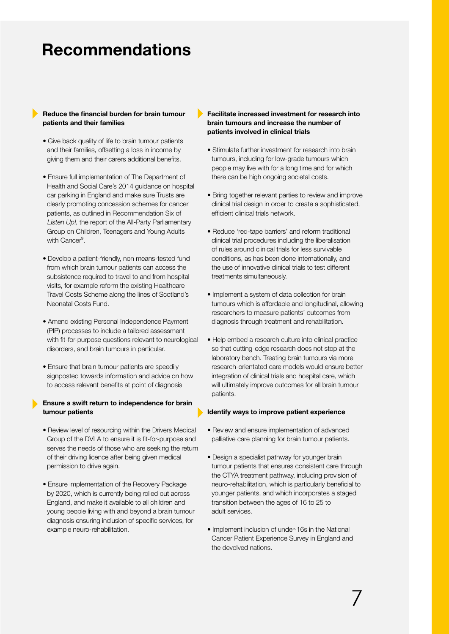# **Recommendations**

# **Reduce the financial burden for brain tumour patients and their families**

- Give back quality of life to brain tumour patients and their families, offsetting a loss in income by giving them and their carers additional benefits.
- Ensure full implementation of The Department of Health and Social Care's 2014 guidance on hospital car parking in England and make sure Trusts are clearly promoting concession schemes for cancer patients, as outlined in Recommendation Six of Listen Up!, the report of the All-Party Parliamentary Group on Children, Teenagers and Young Adults with Cancer<sup>9</sup>.
- Develop a patient-friendly, non means-tested fund from which brain tumour patients can access the subsistence required to travel to and from hospital visits, for example reform the existing Healthcare Travel Costs Scheme along the lines of Scotland's Neonatal Costs Fund.
- Amend existing Personal Independence Payment (PIP) processes to include a tailored assessment with fit-for-purpose questions relevant to neurological disorders, and brain tumours in particular.
- Ensure that brain tumour patients are speedily signposted towards information and advice on how to access relevant benefits at point of diagnosis

# **Ensure a swift return to independence for brain tumour patients**

- Review level of resourcing within the Drivers Medical Group of the DVLA to ensure it is fit-for-purpose and serves the needs of those who are seeking the return of their driving licence after being given medical permission to drive again.
- Ensure implementation of the Recovery Package by 2020, which is currently being rolled out across England, and make it available to all children and young people living with and beyond a brain tumour diagnosis ensuring inclusion of specific services, for example neuro-rehabilitation.

# **Facilitate increased investment for research into brain tumours and increase the number of patients involved in clinical trials**

- Stimulate further investment for research into brain tumours, including for low-grade tumours which people may live with for a long time and for which there can be high ongoing societal costs.
- Bring together relevant parties to review and improve clinical trial design in order to create a sophisticated, efficient clinical trials network.
- Reduce 'red-tape barriers' and reform traditional clinical trial procedures including the liberalisation of rules around clinical trials for less survivable conditions, as has been done internationally, and the use of innovative clinical trials to test different treatments simultaneously.
- Implement a system of data collection for brain tumours which is affordable and longitudinal, allowing researchers to measure patients' outcomes from diagnosis through treatment and rehabilitation.
- Help embed a research culture into clinical practice so that cutting-edge research does not stop at the laboratory bench. Treating brain tumours via more research-orientated care models would ensure better integration of clinical trials and hospital care, which will ultimately improve outcomes for all brain tumour patients.

### **Identify ways to improve patient experience**

- Review and ensure implementation of advanced palliative care planning for brain tumour patients.
- Design a specialist pathway for younger brain tumour patients that ensures consistent care through the CTYA treatment pathway, including provision of neuro-rehabilitation, which is particularly beneficial to younger patients, and which incorporates a staged transition between the ages of 16 to 25 to adult services.
- Implement inclusion of under-16s in the National Cancer Patient Experience Survey in England and the devolved nations.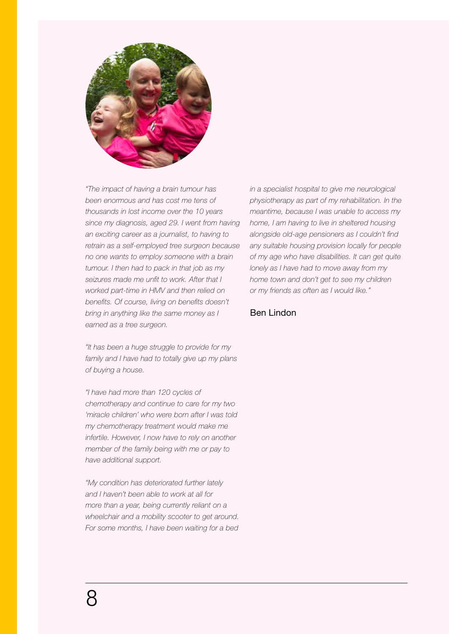

*"The impact of having a brain tumour has been enormous and has cost me tens of thousands in lost income over the 10 years since my diagnosis, aged 29. I went from having an exciting career as a journalist, to having to retrain as a self-employed tree surgeon because no one wants to employ someone with a brain tumour. I then had to pack in that job as my seizures made me unfit to work. After that I worked part-time in HMV and then relied on benefits. Of course, living on benefits doesn't bring in anything like the same money as I earned as a tree surgeon.*

*"It has been a huge struggle to provide for my family and I have had to totally give up my plans of buying a house.*

*"I have had more than 120 cycles of chemotherapy and continue to care for my two 'miracle children' who were born after I was told my chemotherapy treatment would make me infertile. However, I now have to rely on another member of the family being with me or pay to have additional support.*

*"My condition has deteriorated further lately and I haven't been able to work at all for more than a year, being currently reliant on a wheelchair and a mobility scooter to get around. For some months, I have been waiting for a bed* 

*in a specialist hospital to give me neurological physiotherapy as part of my rehabilitation. In the meantime, because I was unable to access my home, I am having to live in sheltered housing alongside old-age pensioners as I couldn't find any suitable housing provision locally for people of my age who have disabilities. It can get quite lonely as I have had to move away from my home town and don't get to see my children or my friends as often as I would like."* 

# Ben Lindon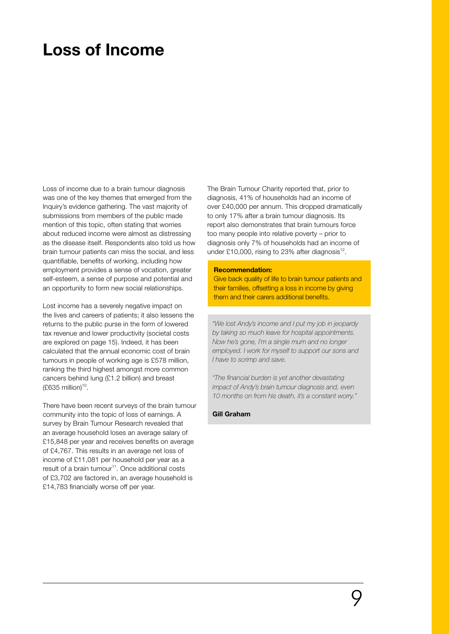# **Loss of Income**

Loss of income due to a brain tumour diagnosis was one of the key themes that emerged from the Inquiry's evidence gathering. The vast majority of submissions from members of the public made mention of this topic, often stating that worries about reduced income were almost as distressing as the disease itself. Respondents also told us how brain tumour patients can miss the social, and less quantifiable, benefits of working, including how employment provides a sense of vocation, greater self-esteem, a sense of purpose and potential and an opportunity to form new social relationships.

Lost income has a severely negative impact on the lives and careers of patients; it also lessens the returns to the public purse in the form of lowered tax revenue and lower productivity (societal costs are explored on page 15). Indeed, it has been calculated that the annual economic cost of brain tumours in people of working age is £578 million, ranking the third highest amongst more common cancers behind lung (£1.2 billion) and breast  $(E635$  million)<sup>10</sup>.

There have been recent surveys of the brain tumour community into the topic of loss of earnings. A survey by Brain Tumour Research revealed that an average household loses an average salary of £15,848 per year and receives benefits on average of £4,767. This results in an average net loss of income of £11,081 per household per year as a result of a brain tumour<sup>11</sup>. Once additional costs of £3,702 are factored in, an average household is £14,783 financially worse off per year.

The Brain Tumour Charity reported that, prior to diagnosis, 41% of households had an income of over £40,000 per annum. This dropped dramatically to only 17% after a brain tumour diagnosis. Its report also demonstrates that brain tumours force too many people into relative poverty – prior to diagnosis only 7% of households had an income of under £10,000, rising to 23% after diagnosis $^{12}$ .

# **Recommendation:**

Give back quality of life to brain tumour patients and their families, offsetting a loss in income by giving them and their carers additional benefits.

*"We lost Andy's income and I put my job in jeopardy by taking so much leave for hospital appointments. Now he's gone, I'm a single mum and no longer employed. I work for myself to support our sons and I have to scrimp and save.*

*"The financial burden is yet another devastating impact of Andy's brain tumour diagnosis and, even 10 months on from his death, it's a constant worry."* 

#### **Gill Graham**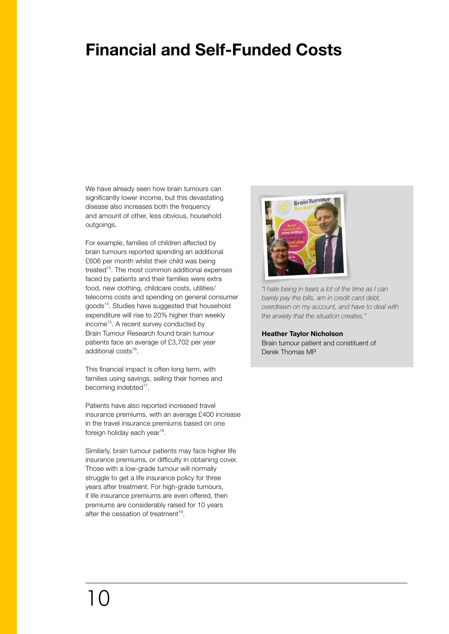# **Financial and Self-Funded Costs**

We have already seen how brain tumours can significantly lower income, but this devastating disease also increases both the frequency and amount of other, less obvious, household outgoings.

For example, families of children affected by brain tumours reported spending an additional £606 per month whilst their child was being treated<sup>13</sup>. The most common additional expenses faced by patients and their families were extra food, new clothing, childcare costs, utilities/ telecoms costs and spending on general consumer goods<sup>14</sup>. Studies have suggested that household expenditure will rise to 20% higher than weekly income<sup>15</sup>. A recent survey conducted by Brain Tumour Research found brain tumour patients face an average of £3,702 per year additional costs<sup>16</sup>.

This financial impact is often long term, with families using savings, selling their homes and becoming indebted<sup>17</sup>.

Patients have also reported increased travel insurance premiums, with an average £400 increase in the travel insurance premiums based on one foreign holiday each year<sup>18</sup>.

Similarly, brain tumour patients may face higher life insurance premiums, or difficulty in obtaining cover. Those with a low-grade tumour will normally struggle to get a life insurance policy for three years after treatment. For high-grade tumours, if life insurance premiums are even offered, then premiums are considerably raised for 10 years after the cessation of treatment $19$ .



*"I hate being in tears a lot of the time as I can barely pay the bills, am in credit card debt, overdrawn on my account, and have to deal with the anxiety that the situation creates."*

### **Heather Taylor Nicholson**

Brain tumour patient and constituent of Derek Thomas MP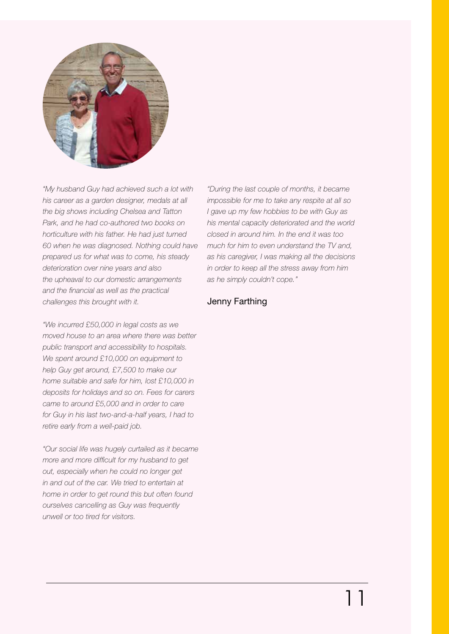

*"My husband Guy had achieved such a lot with his career as a garden designer, medals at all the big shows including Chelsea and Tatton Park, and he had co-authored two books on horticulture with his father. He had just turned 60 when he was diagnosed. Nothing could have prepared us for what was to come, his steady deterioration over nine years and also the upheaval to our domestic arrangements and the financial as well as the practical challenges this brought with it.*

*"We incurred £50,000 in legal costs as we moved house to an area where there was better public transport and accessibility to hospitals. We spent around £10,000 on equipment to help Guy get around, £7,500 to make our home suitable and safe for him, lost £10,000 in deposits for holidays and so on. Fees for carers came to around £5,000 and in order to care for Guy in his last two-and-a-half years, I had to retire early from a well-paid job.*

*"Our social life was hugely curtailed as it became more and more difficult for my husband to get out, especially when he could no longer get in and out of the car. We tried to entertain at home in order to get round this but often found ourselves cancelling as Guy was frequently unwell or too tired for visitors.* 

*"During the last couple of months, it became impossible for me to take any respite at all so I gave up my few hobbies to be with Guy as his mental capacity deteriorated and the world closed in around him. In the end it was too much for him to even understand the TV and, as his caregiver, I was making all the decisions in order to keep all the stress away from him as he simply couldn't cope."*

# Jenny Farthing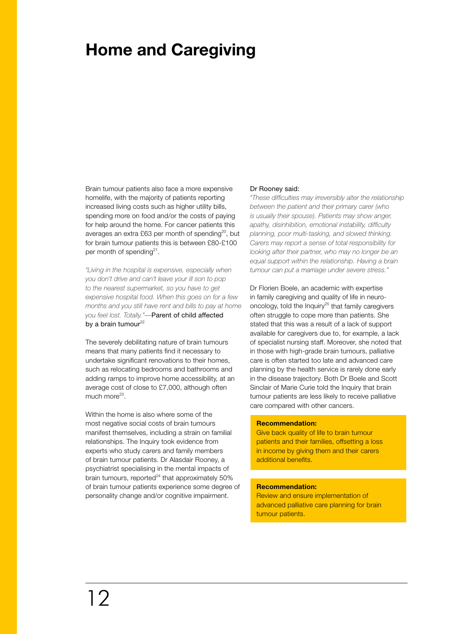# **Home and Caregiving**

Brain tumour patients also face a more expensive homelife, with the majority of patients reporting increased living costs such as higher utility bills, spending more on food and/or the costs of paying for help around the home. For cancer patients this averages an extra £63 per month of spending<sup>20</sup>, but for brain tumour patients this is between £80-£100 per month of spending $2^1$ .

*"Living in the hospital is expensive, especially when you don't drive and can't leave your ill son to pop to the nearest supermarket, so you have to get expensive hospital food. When this goes on for a few months and you still have rent and bills to pay at home you feel lost. Totally."—*Parent of child affected by a brain tumour $^{22}$ 

The severely debilitating nature of brain tumours means that many patients find it necessary to undertake significant renovations to their homes, such as relocating bedrooms and bathrooms and adding ramps to improve home accessibility, at an average cost of close to £7,000, although often much more $23$ .

Within the home is also where some of the most negative social costs of brain tumours manifest themselves, including a strain on familial relationships. The Inquiry took evidence from experts who study carers and family members of brain tumour patients. Dr Alasdair Rooney, a psychiatrist specialising in the mental impacts of brain tumours, reported $^{24}$  that approximately 50% of brain tumour patients experience some degree of personality change and/or cognitive impairment.

#### Dr Rooney said:

*"These difficulties may irreversibly alter the relationship between the patient and their primary carer (who is usually their spouse). Patients may show anger, apathy, disinhibition, emotional instability, difficulty planning, poor multi-tasking, and slowed thinking. Carers may report a sense of total responsibility for looking after their partner, who may no longer be an equal support within the relationship. Having a brain tumour can put a marriage under severe stress."*

Dr Florien Boele, an academic with expertise in family caregiving and quality of life in neurooncology, told the Inquiry<sup>25</sup> that family caregivers often struggle to cope more than patients. She stated that this was a result of a lack of support available for caregivers due to, for example, a lack of specialist nursing staff. Moreover, she noted that in those with high-grade brain tumours, palliative care is often started too late and advanced care planning by the health service is rarely done early in the disease trajectory. Both Dr Boele and Scott Sinclair of Marie Curie told the Inquiry that brain tumour patients are less likely to receive palliative care compared with other cancers.

# **Recommendation:**

Give back quality of life to brain tumour patients and their families, offsetting a loss in income by giving them and their carers additional benefits.

### **Recommendation:**

Review and ensure implementation of advanced palliative care planning for brain tumour patients.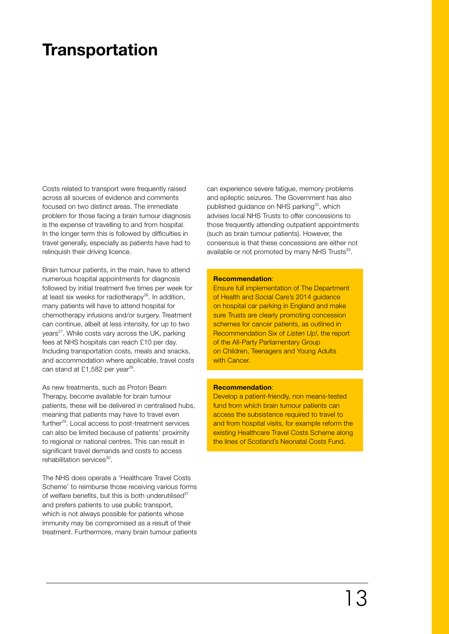# **Transportation**

Costs related to transport were frequently raised across all sources of evidence and comments focused on two distinct areas. The immediate problem for those facing a brain tumour diagnosis is the expense of travelling to and from hospital. In the longer term this is followed by difficulties in travel generally, especially as patients have had to relinquish their driving licence.

Brain tumour patients, in the main, have to attend numerous hospital appointments for diagnosis followed by initial treatment five times per week for at least six weeks for radiotherapy $^{26}$ . In addition, many patients will have to attend hospital for chemotherapy infusions and/or surgery. Treatment can continue, albeit at less intensity, for up to two years<sup>27</sup>. While costs vary across the UK, parking fees at NHS hospitals can reach £10 per day. Including transportation costs, meals and snacks, and accommodation where applicable, travel costs can stand at £1,582 per year<sup>28</sup>.

As new treatments, such as Proton Beam Therapy, become available for brain tumour patients, these will be delivered in centralised hubs, meaning that patients may have to travel even further<sup>29</sup>. Local access to post-treatment services can also be limited because of patients' proximity to regional or national centres. This can result in significant travel demands and costs to access rehabilitation services<sup>30</sup>.

The NHS does operate a 'Healthcare Travel Costs Scheme' to reimburse those receiving various forms of welfare benefits, but this is both underutilised $31$ and prefers patients to use public transport, which is not always possible for patients whose immunity may be compromised as a result of their treatment. Furthermore, many brain tumour patients

can experience severe fatigue, memory problems and epileptic seizures. The Government has also published guidance on NHS parking<sup>32</sup>, which advises local NHS Trusts to offer concessions to those frequently attending outpatient appointments (such as brain tumour patients). However, the consensus is that these concessions are either not available or not promoted by many NHS Trusts<sup>33</sup>.

### **Recommendation**:

Ensure full implementation of The Department of Health and Social Care's 2014 guidance on hospital car parking in England and make sure Trusts are clearly promoting concession schemes for cancer patients, as outlined in Recommendation Six of Listen Up!, the report of the All-Party Parliamentary Group on Children, Teenagers and Young Adults with Cancer.

# **Recommendation**:

Develop a patient-friendly, non means-tested fund from which brain tumour patients can access the subsistence required to travel to and from hospital visits, for example reform the existing Healthcare Travel Costs Scheme along the lines of Scotland's Neonatal Costs Fund.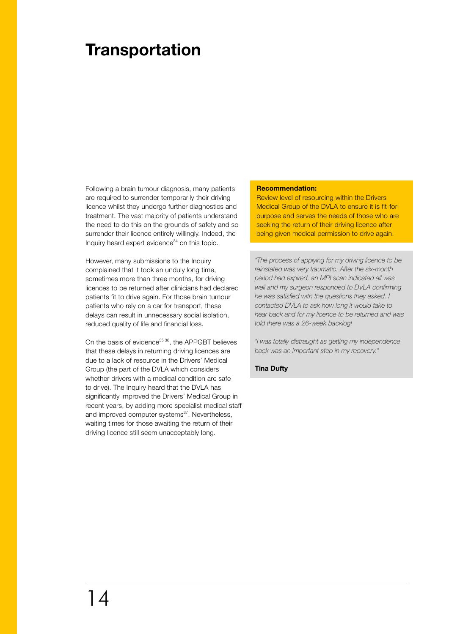# **Transportation**

Following a brain tumour diagnosis, many patients are required to surrender temporarily their driving licence whilst they undergo further diagnostics and treatment. The vast majority of patients understand the need to do this on the grounds of safety and so surrender their licence entirely willingly. Indeed, the Inquiry heard expert evidence $34$  on this topic.

However, many submissions to the Inquiry complained that it took an unduly long time, sometimes more than three months, for driving licences to be returned after clinicians had declared patients fit to drive again. For those brain tumour patients who rely on a car for transport, these delays can result in unnecessary social isolation, reduced quality of life and financial loss.

On the basis of evidence<sup>35 36</sup>, the APPGBT believes that these delays in returning driving licences are due to a lack of resource in the Drivers' Medical Group (the part of the DVLA which considers whether drivers with a medical condition are safe to drive). The Inquiry heard that the DVLA has significantly improved the Drivers' Medical Group in recent years, by adding more specialist medical staff and improved computer systems<sup>37</sup>. Nevertheless, waiting times for those awaiting the return of their driving licence still seem unacceptably long.

### **Recommendation:**

Review level of resourcing within the Drivers Medical Group of the DVLA to ensure it is fit-forpurpose and serves the needs of those who are seeking the return of their driving licence after being given medical permission to drive again.

*"The process of applying for my driving licence to be reinstated was very traumatic. After the six-month period had expired, an MRI scan indicated all was well and my surgeon responded to DVLA confirming he was satisfied with the questions they asked. I contacted DVLA to ask how long it would take to hear back and for my licence to be returned and was told there was a 26-week backlog!* 

*"I was totally distraught as getting my independence back was an important step in my recovery."* 

**Tina Dufty**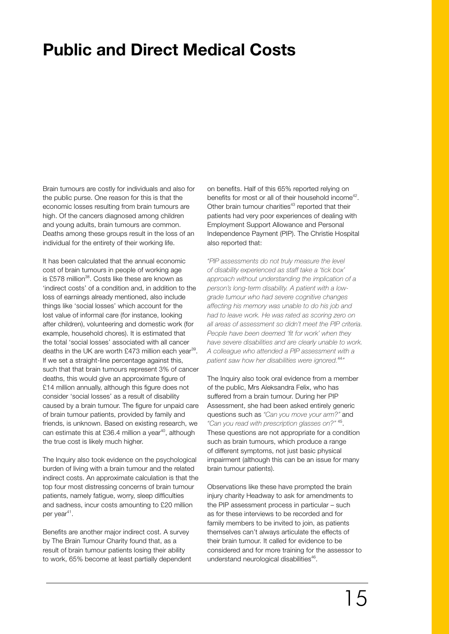# **Public and Direct Medical Costs**

Brain tumours are costly for individuals and also for the public purse. One reason for this is that the economic losses resulting from brain tumours are high. Of the cancers diagnosed among children and young adults, brain tumours are common. Deaths among these groups result in the loss of an individual for the entirety of their working life.

It has been calculated that the annual economic cost of brain tumours in people of working age is £578 million $^{38}$ . Costs like these are known as 'indirect costs' of a condition and, in addition to the loss of earnings already mentioned, also include things like 'social losses' which account for the lost value of informal care (for instance, looking after children), volunteering and domestic work (for example, household chores). It is estimated that the total 'social losses' associated with all cancer deaths in the UK are worth £473 million each year<sup>39</sup>. If we set a straight-line percentage against this, such that that brain tumours represent 3% of cancer deaths, this would give an approximate figure of £14 million annually, although this figure does not consider 'social losses' as a result of disability caused by a brain tumour. The figure for unpaid care of brain tumour patients, provided by family and friends, is unknown. Based on existing research, we can estimate this at £36.4 million a year<sup>40</sup>, although the true cost is likely much higher.

The Inquiry also took evidence on the psychological burden of living with a brain tumour and the related indirect costs. An approximate calculation is that the top four most distressing concerns of brain tumour patients, namely fatigue, worry, sleep difficulties and sadness, incur costs amounting to £20 million per year<sup>41</sup>.

Benefits are another major indirect cost. A survey by The Brain Tumour Charity found that, as a result of brain tumour patients losing their ability to work, 65% become at least partially dependent on benefits. Half of this 65% reported relying on benefits for most or all of their household income<sup>42</sup>. Other brain tumour charities<sup>43</sup> reported that their patients had very poor experiences of dealing with Employment Support Allowance and Personal Independence Payment (PIP). The Christie Hospital also reported that:

*"PIP assessments do not truly measure the level of disability experienced as staff take a 'tick box' approach without understanding the implication of a person's long-term disability. A patient with a lowgrade tumour who had severe cognitive changes affecting his memory was unable to do his job and had to leave work. He was rated as scoring zero on all areas of assessment so didn't meet the PIP criteria. People have been deemed 'fit for work' when they have severe disabilities and are clearly unable to work. A colleague who attended a PIP assessment with a patient saw how her disabilities were ignored.*<sup>44</sup>*"*

The Inquiry also took oral evidence from a member of the public, Mrs Aleksandra Felix, who has suffered from a brain tumour. During her PIP Assessment, she had been asked entirely generic questions such as *"Can you move your arm?"* and *"Can you read with prescription glasses on?"* 45. These questions are not appropriate for a condition such as brain tumours, which produce a range of different symptoms, not just basic physical impairment (although this can be an issue for many brain tumour patients).

Observations like these have prompted the brain injury charity Headway to ask for amendments to the PIP assessment process in particular – such as for these interviews to be recorded and for family members to be invited to join, as patients themselves can't always articulate the effects of their brain tumour. It called for evidence to be considered and for more training for the assessor to understand neurological disabilities<sup>46</sup>.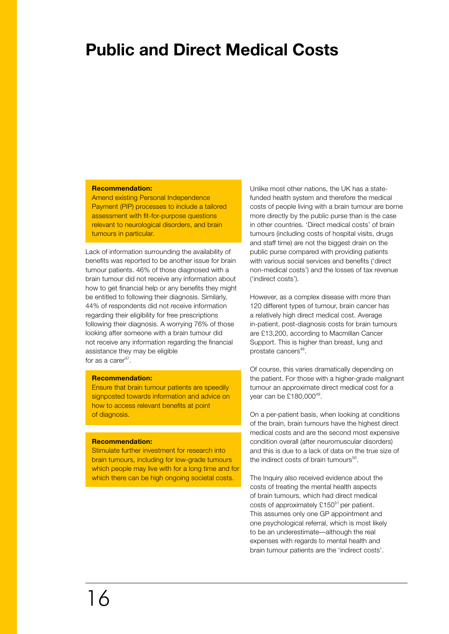# **Public and Direct Medical Costs**

### **Recommendation:**

Amend existing Personal Independence Payment (PIP) processes to include a tailored assessment with fit-for-purpose questions relevant to neurological disorders, and brain tumours in particular.

Lack of information surrounding the availability of benefits was reported to be another issue for brain tumour patients. 46% of those diagnosed with a brain tumour did not receive any information about how to get financial help or any benefits they might be entitled to following their diagnosis. Similarly, 44% of respondents did not receive information regarding their eligibility for free prescriptions following their diagnosis. A worrying 76% of those looking after someone with a brain tumour did not receive any information regarding the financial assistance they may be eligible for as a care $r^{47}$ .

### **Recommendation:**

Ensure that brain tumour patients are speedily signposted towards information and advice on how to access relevant benefits at point of diagnosis.

# **Recommendation:**

Stimulate further investment for research into brain tumours, including for low-grade tumours which people may live with for a long time and for which there can be high ongoing societal costs.

Unlike most other nations, the UK has a statefunded health system and therefore the medical costs of people living with a brain tumour are borne more directly by the public purse than is the case in other countries. 'Direct medical costs' of brain tumours (including costs of hospital visits, drugs and staff time) are not the biggest drain on the public purse compared with providing patients with various social services and benefits ('direct non-medical costs') and the losses of tax revenue ('indirect costs').

However, as a complex disease with more than 120 different types of tumour, brain cancer has a relatively high direct medical cost. Average in-patient, post-diagnosis costs for brain tumours are £13,200, according to Macmillan Cancer Support. This is higher than breast, lung and prostate cancers<sup>48</sup>.

Of course, this varies dramatically depending on the patient. For those with a higher-grade malignant tumour an approximate direct medical cost for a year can be £180,000<sup>49</sup>.

On a per-patient basis, when looking at conditions of the brain, brain tumours have the highest direct medical costs and are the second most expensive condition overall (after neuromuscular disorders) and this is due to a lack of data on the true size of the indirect costs of brain tumours $50$ .

The Inquiry also received evidence about the costs of treating the mental health aspects of brain tumours, which had direct medical costs of approximately  $£150<sup>51</sup>$  per patient. This assumes only one GP appointment and one psychological referral, which is most likely to be an underestimate—although the real expenses with regards to mental health and brain tumour patients are the 'indirect costs'.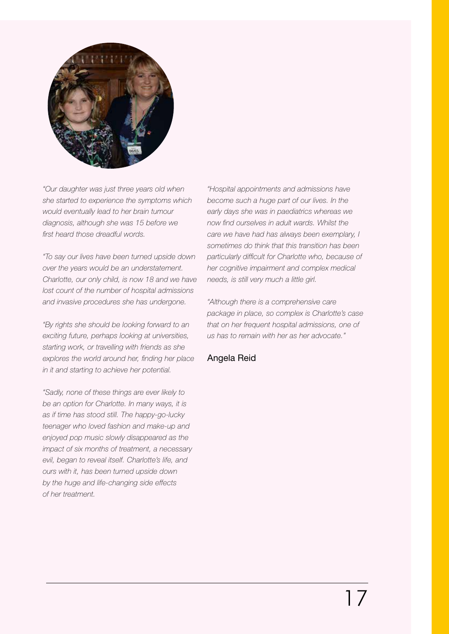

*"Our daughter was just three years old when she started to experience the symptoms which would eventually lead to her brain tumour diagnosis, although she was 15 before we first heard those dreadful words.*

*"To say our lives have been turned upside down over the years would be an understatement. Charlotte, our only child, is now 18 and we have lost count of the number of hospital admissions and invasive procedures she has undergone.*

*"By rights she should be looking forward to an exciting future, perhaps looking at universities, starting work, or travelling with friends as she explores the world around her, finding her place in it and starting to achieve her potential.*

*"Sadly, none of these things are ever likely to be an option for Charlotte. In many ways, it is as if time has stood still. The happy-go-lucky teenager who loved fashion and make-up and enjoyed pop music slowly disappeared as the impact of six months of treatment, a necessary evil, began to reveal itself. Charlotte's life, and ours with it, has been turned upside down by the huge and life-changing side effects of her treatment.*

*"Hospital appointments and admissions have become such a huge part of our lives. In the early days she was in paediatrics whereas we now find ourselves in adult wards. Whilst the care we have had has always been exemplary, I sometimes do think that this transition has been particularly difficult for Charlotte who, because of her cognitive impairment and complex medical needs, is still very much a little girl.*

*"Although there is a comprehensive care package in place, so complex is Charlotte's case that on her frequent hospital admissions, one of us has to remain with her as her advocate."* 

# Angela Reid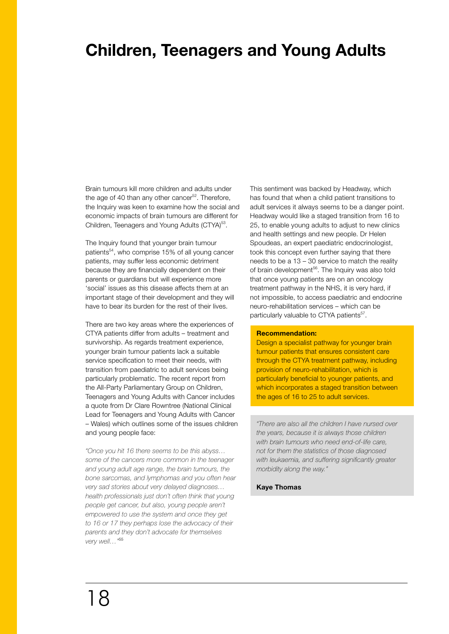# **Children, Teenagers and Young Adults**

Brain tumours kill more children and adults under the age of 40 than any other cancer $52$ . Therefore, the Inquiry was keen to examine how the social and economic impacts of brain tumours are different for Children, Teenagers and Young Adults (CTYA)<sup>53</sup>.

The Inquiry found that younger brain tumour patients<sup>54</sup>, who comprise 15% of all young cancer patients, may suffer less economic detriment because they are financially dependent on their parents or guardians but will experience more 'social' issues as this disease affects them at an important stage of their development and they will have to bear its burden for the rest of their lives.

There are two key areas where the experiences of CTYA patients differ from adults – treatment and survivorship. As regards treatment experience, younger brain tumour patients lack a suitable service specification to meet their needs, with transition from paediatric to adult services being particularly problematic. The recent report from the All-Party Parliamentary Group on Children, Teenagers and Young Adults with Cancer includes a quote from Dr Clare Rowntree (National Clinical Lead for Teenagers and Young Adults with Cancer – Wales) which outlines some of the issues children and young people face:

*"Once you hit 16 there seems to be this abyss… some of the cancers more common in the teenager and young adult age range, the brain tumours, the bone sarcomas, and lymphomas and you often hear very sad stories about very delayed diagnoses… health professionals just don't often think that young people get cancer, but also, young people aren't empowered to use the system and once they get to 16 or 17 they perhaps lose the advocacy of their parents and they don't advocate for themselves very well…"*<sup>55</sup>

This sentiment was backed by Headway, which has found that when a child patient transitions to adult services it always seems to be a danger point. Headway would like a staged transition from 16 to 25, to enable young adults to adjust to new clinics and health settings and new people. Dr Helen Spoudeas, an expert paediatric endocrinologist, took this concept even further saying that there needs to be a 13 – 30 service to match the reality of brain development<sup>56</sup>. The Inquiry was also told that once young patients are on an oncology treatment pathway in the NHS, it is very hard, if not impossible, to access paediatric and endocrine neuro-rehabilitation services – which can be particularly valuable to CTYA patients<sup>57</sup>.

### **Recommendation:**

Design a specialist pathway for younger brain tumour patients that ensures consistent care through the CTYA treatment pathway, including provision of neuro-rehabilitation, which is particularly beneficial to younger patients, and which incorporates a staged transition between the ages of 16 to 25 to adult services.

*"There are also all the children I have nursed over the years, because it is always those children with brain tumours who need end-of-life care, not for them the statistics of those diagnosed with leukaemia, and suffering significantly greater morbidity along the way."*

### **Kaye Thomas**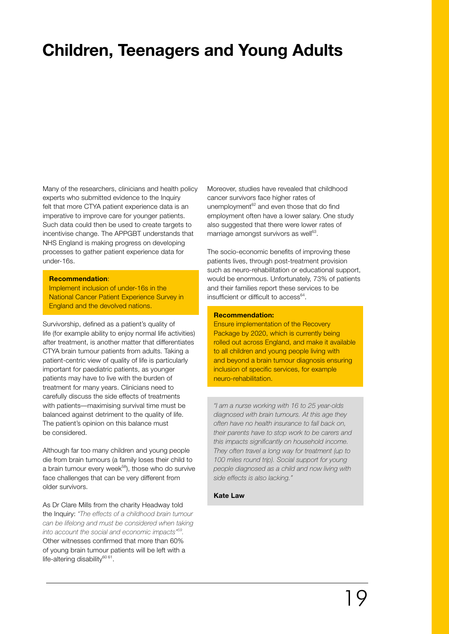# **Children, Teenagers and Young Adults**

Many of the researchers, clinicians and health policy experts who submitted evidence to the Inquiry felt that more CTYA patient experience data is an imperative to improve care for younger patients. Such data could then be used to create targets to incentivise change. The APPGBT understands that NHS England is making progress on developing processes to gather patient experience data for under-16s.

### **Recommendation**:

Implement inclusion of under-16s in the National Cancer Patient Experience Survey in England and the devolved nations.

Survivorship, defined as a patient's quality of life (for example ability to enjoy normal life activities) after treatment, is another matter that differentiates CTYA brain tumour patients from adults. Taking a patient-centric view of quality of life is particularly important for paediatric patients, as younger patients may have to live with the burden of treatment for many years. Clinicians need to carefully discuss the side effects of treatments with patients—maximising survival time must be balanced against detriment to the quality of life. The patient's opinion on this balance must be considered.

Although far too many children and young people die from brain tumours (a family loses their child to a brain tumour every week<sup>58</sup>), those who do survive face challenges that can be very different from older survivors.

As Dr Clare Mills from the charity Headway told the Inquiry: *"The effects of a childhood brain tumour can be lifelong and must be considered when taking into account the social and economic impacts"59.* Other witnesses confirmed that more than 60% of young brain tumour patients will be left with a life-altering disability $60 61$ .

Moreover, studies have revealed that childhood cancer survivors face higher rates of unemployment<sup>62</sup> and even those that do find employment often have a lower salary. One study also suggested that there were lower rates of marriage amongst survivors as well<sup>63</sup>.

The socio-economic benefits of improving these patients lives, through post-treatment provision such as neuro-rehabilitation or educational support, would be enormous. Unfortunately, 73% of patients and their families report these services to be insufficient or difficult to  $\arccos^{64}$ .

### **Recommendation:**

Ensure implementation of the Recovery Package by 2020, which is currently being rolled out across England, and make it available to all children and young people living with and beyond a brain tumour diagnosis ensuring inclusion of specific services, for example neuro-rehabilitation.

*"I am a nurse working with 16 to 25 year-olds diagnosed with brain tumours. At this age they often have no health insurance to fall back on, their parents have to stop work to be carers and this impacts significantly on household income. They often travel a long way for treatment (up to 100 miles round trip). Social support for young people diagnosed as a child and now living with side effects is also lacking."*

#### **Kate Law**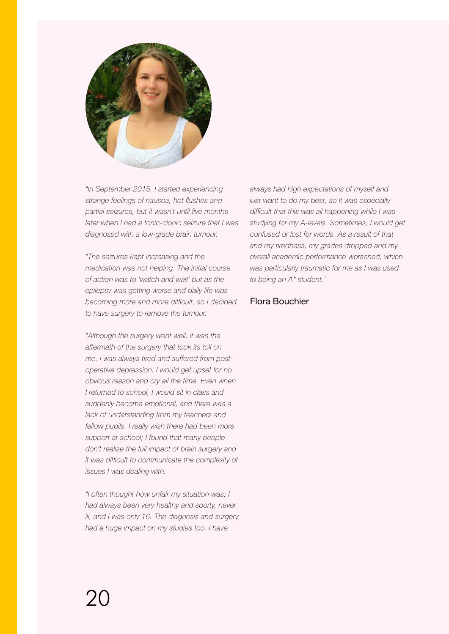

*"In September 2015, I started experiencing strange feelings of nausea, hot flushes and partial seizures, but it wasn't until five months later when I had a tonic-clonic seizure that I was diagnosed with a low-grade brain tumour.*

*"The seizures kept increasing and the medication was not helping. The initial course of action was to 'watch and wait' but as the epilepsy was getting worse and daily life was becoming more and more difficult, so I decided to have surgery to remove the tumour.*

*"Although the surgery went well, it was the aftermath of the surgery that took its toll on me. I was always tired and suffered from postoperative depression. I would get upset for no obvious reason and cry all the time. Even when I returned to school, I would sit in class and suddenly become emotional, and there was a lack of understanding from my teachers and fellow pupils. I really wish there had been more support at school; I found that many people don't realise the full impact of brain surgery and it was difficult to communicate the complexity of issues I was dealing with.*

*"I often thought how unfair my situation was; I had always been very healthy and sporty, never ill, and I was only 16. The diagnosis and surgery had a huge impact on my studies too. I have* 

*always had high expectations of myself and just want to do my best, so it was especially difficult that this was all happening while I was studying for my A-levels. Sometimes, I would get confused or lost for words. As a result of that and my tiredness, my grades dropped and my overall academic performance worsened, which was particularly traumatic for me as I was used to being an A\* student."* 

# Flora Bouchier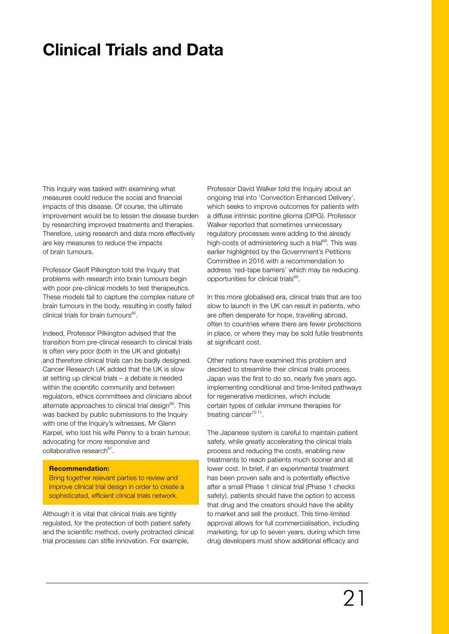# **Clinical Trials and Data**

This Inquiry was tasked with examining what measures could reduce the social and financial impacts of this disease. Of course, the ultimate improvement would be to lessen the disease burden by researching improved treatments and therapies. Therefore, using research and data more effectively are key measures to reduce the impacts of brain tumours.

Professor Geoff Pilkington told the Inquiry that problems with research into brain tumours begin with poor pre-clinical models to test therapeutics. These models fail to capture the complex nature of brain tumours in the body, resulting in costly failed clinical trials for brain tumours $65$ .

Indeed, Professor Pilkington advised that the transition from pre-clinical research to clinical trials is often very poor (both in the UK and globally) and therefore clinical trials can be badly designed. Cancer Research UK added that the UK is slow at setting up clinical trials – a debate is needed within the scientific community and between regulators, ethics committees and clinicians about alternate approaches to clinical trial design $66$ . This was backed by public submissions to the Inquiry with one of the Inquiry's witnesses, Mr Glenn Karpel, who lost his wife Penny to a brain tumour, advocating for more responsive and collaborative research $67$ .

### **Recommendation:**

Bring together relevant parties to review and improve clinical trial design in order to create a sophisticated, efficient clinical trials network.

Although it is vital that clinical trials are tightly regulated, for the protection of both patient safety and the scientific method, overly protracted clinical trial processes can stifle innovation. For example,

Professor David Walker told the Inquiry about an ongoing trial into 'Convection Enhanced Delivery', which seeks to improve outcomes for patients with a diffuse intrinsic pontine glioma (DIPG). Professor Walker reported that sometimes unnecessary regulatory processes were adding to the already high-costs of administering such a trial<sup>68</sup>. This was earlier highlighted by the Government's Petitions Committee in 2016 with a recommendation to address 'red-tape barriers' which may be reducing opportunities for clinical trials<sup>69</sup>.

In this more globalised era, clinical trials that are too slow to launch in the UK can result in patients, who are often desperate for hope, travelling abroad, often to countries where there are fewer protections in place, or where they may be sold futile treatments at significant cost.

Other nations have examined this problem and decided to streamline their clinical trials process. Japan was the first to do so, nearly five years ago, implementing conditional and time-limited pathways for regenerative medicines, which include certain types of cellular immune therapies for treating cancer<sup>7071</sup>.

The Japanese system is careful to maintain patient safety, while greatly accelerating the clinical trials process and reducing the costs, enabling new treatments to reach patients much sooner and at lower cost. In brief, if an experimental treatment has been proven safe and is potentially effective after a small Phase 1 clinical trial (Phase 1 checks safety), patients should have the option to access that drug and the creators should have the ability to market and sell the product. This time-limited approval allows for full commercialisation, including marketing, for up to seven years, during which time drug developers must show additional efficacy and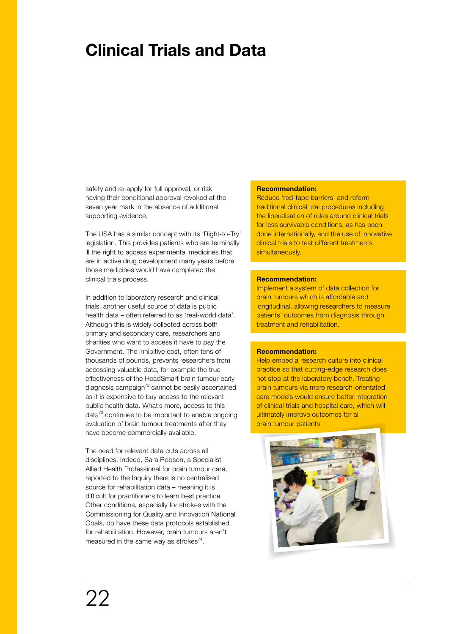# **Clinical Trials and Data**

safety and re-apply for full approval, or risk having their conditional approval revoked at the seven year mark in the absence of additional supporting evidence.

The USA has a similar concept with its 'Right-to-Try' legislation. This provides patients who are terminally ill the right to access experimental medicines that are in active drug development many years before those medicines would have completed the clinical trials process.

In addition to laboratory research and clinical trials, another useful source of data is public health data – often referred to as 'real-world data'. Although this is widely collected across both primary and secondary care, researchers and charities who want to access it have to pay the Government. The inhibitive cost, often tens of thousands of pounds, prevents researchers from accessing valuable data, for example the true effectiveness of the HeadSmart brain tumour early diagnosis campaign $72$  cannot be easily ascertained as it is expensive to buy access to the relevant public health data. What's more, access to this data $73$  continues to be important to enable ongoing evaluation of brain tumour treatments after they have become commercially available.

The need for relevant data cuts across all disciplines. Indeed, Sara Robson, a Specialist Allied Health Professional for brain tumour care, reported to the Inquiry there is no centralised source for rehabilitation data – meaning it is difficult for practitioners to learn best practice. Other conditions, especially for strokes with the Commissioning for Quality and Innovation National Goals, do have these data protocols established for rehabilitation. However, brain tumours aren't measured in the same way as strokes<sup>74</sup>.

### **Recommendation:**

Reduce 'red-tape barriers' and reform traditional clinical trial procedures including the liberalisation of rules around clinical trials for less survivable conditions, as has been done internationally, and the use of innovative clinical trials to test different treatments simultaneously.

### **Recommendation:**

Implement a system of data collection for brain tumours which is affordable and longitudinal, allowing researchers to measure patients' outcomes from diagnosis through treatment and rehabilitation.

### **Recommendation:**

Help embed a research culture into clinical practice so that cutting-edge research does not stop at the laboratory bench. Treating brain tumours via more research-orientated care models would ensure better integration of clinical trials and hospital care, which will ultimately improve outcomes for all brain tumour patients.

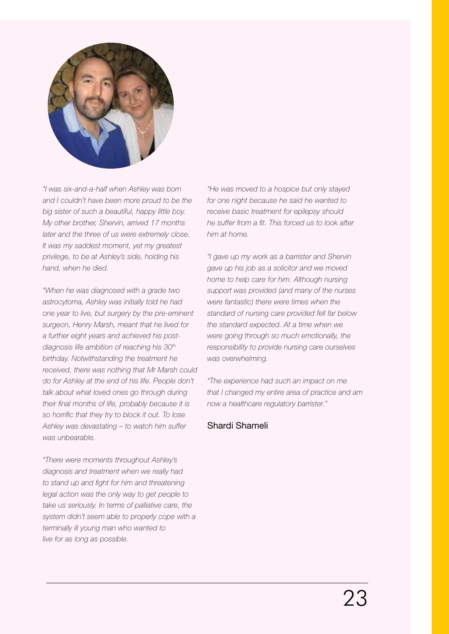

*"I was six-and-a-half when Ashley was born and I couldn't have been more proud to be the big sister of such a beautiful, happy little boy. My other brother, Shervin, arrived 17 months later and the three of us were extremely close. It was my saddest moment, yet my greatest privilege, to be at Ashley's side, holding his hand, when he died.*

*"When he was diagnosed with a grade two astrocytoma, Ashley was initially told he had one year to live, but surgery by the pre-eminent surgeon, Henry Marsh, meant that he lived for a further eight years and achieved his postdiagnosis life ambition of reaching his 30th birthday. Notwithstanding the treatment he received, there was nothing that Mr Marsh could do for Ashley at the end of his life. People don't talk about what loved ones go through during their final months of life, probably because it is so horrific that they try to block it out. To lose Ashley was devastating – to watch him suffer was unbearable.*

*"There were moments throughout Ashley's diagnosis and treatment when we really had to stand up and fight for him and threatening legal action was the only way to get people to take us seriously. In terms of palliative care, the system didn't seem able to properly cope with a terminally ill young man who wanted to live for as long as possible.*

*"He was moved to a hospice but only stayed for one night because he said he wanted to receive basic treatment for epilepsy should he suffer from a fit. This forced us to look after him at home.*

*"I gave up my work as a barrister and Shervin gave up his job as a solicitor and we moved home to help care for him. Although nursing support was provided (and many of the nurses were fantastic) there were times when the standard of nursing care provided fell far below the standard expected. At a time when we were going through so much emotionally, the responsibility to provide nursing care ourselves was overwhelming.*

*"The experience had such an impact on me that I changed my entire area of practice and am now a healthcare regulatory barrister."* 

# Shardi Shameli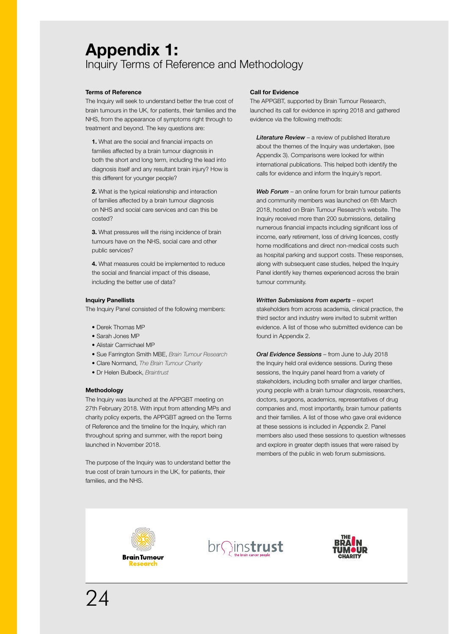# **Appendix 1:** Inquiry Terms of Reference and Methodology

### **Terms of Reference**

The Inquiry will seek to understand better the true cost of brain tumours in the UK, for patients, their families and the NHS, from the appearance of symptoms right through to treatment and beyond. The key questions are:

**1.** What are the social and financial impacts on families affected by a brain tumour diagnosis in both the short and long term, including the lead into diagnosis itself and any resultant brain injury? How is this different for younger people?

**2.** What is the typical relationship and interaction of families affected by a brain tumour diagnosis on NHS and social care services and can this be costed?

**3.** What pressures will the rising incidence of brain tumours have on the NHS, social care and other public services?

**4.** What measures could be implemented to reduce the social and financial impact of this disease, including the better use of data?

### **Inquiry Panellists**

The Inquiry Panel consisted of the following members:

- Derek Thomas MP
- Sarah Jones MP
- Alistair Carmichael MP
- Sue Farrington Smith MBE, *Brain Tumour Research*
- Clare Normand, *The Brain Tumour Charity*
- Dr Helen Bulbeck, *Braintrust*

#### **Methodology**

The Inquiry was launched at the APPGBT meeting on 27th February 2018. With input from attending MPs and charity policy experts, the APPGBT agreed on the Terms of Reference and the timeline for the Inquiry, which ran throughout spring and summer, with the report being launched in November 2018.

The purpose of the Inquiry was to understand better the true cost of brain tumours in the UK, for patients, their families, and the NHS.

### **Call for Evidence**

The APPGBT, supported by Brain Tumour Research, launched its call for evidence in spring 2018 and gathered evidence via the following methods:

*Literature Review* – a review of published literature about the themes of the Inquiry was undertaken, (see Appendix 3). Comparisons were looked for within international publications. This helped both identify the calls for evidence and inform the Inquiry's report.

Web Forum - an online forum for brain tumour patients and community members was launched on 6th March 2018, hosted on Brain Tumour Research's website. The Inquiry received more than 200 submissions, detailing numerous financial impacts including significant loss of income, early retirement, loss of driving licences, costly home modifications and direct non-medical costs such as hospital parking and support costs. These responses, along with subsequent case studies, helped the Inquiry Panel identify key themes experienced across the brain tumour community.

### *Written Submissions from experts* – expert

stakeholders from across academia, clinical practice, the third sector and industry were invited to submit written evidence. A list of those who submitted evidence can be found in Appendix 2.

*Oral Evidence Sessions* – from June to July 2018 the Inquiry held oral evidence sessions. During these sessions, the Inquiry panel heard from a variety of stakeholders, including both smaller and larger charities, young people with a brain tumour diagnosis, researchers, doctors, surgeons, academics, representatives of drug companies and, most importantly, brain tumour patients and their families. A list of those who gave oral evidence at these sessions is included in Appendix 2. Panel members also used these sessions to question witnesses and explore in greater depth issues that were raised by members of the public in web forum submissions.





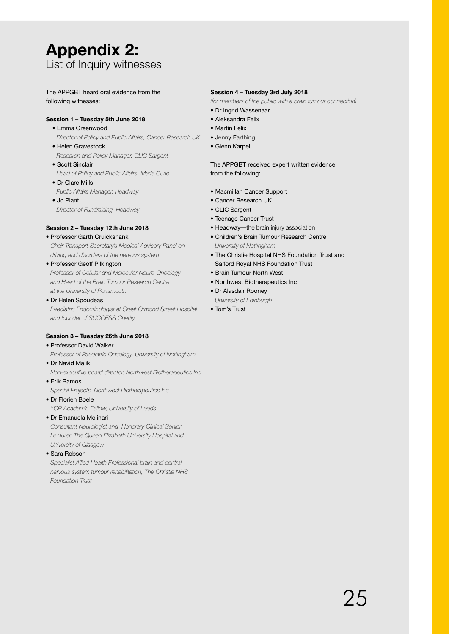# **Appendix 2:** List of Inquiry witnesses

The APPGBT heard oral evidence from the following witnesses:

# **Session 1 – Tuesday 5th June 2018**

- Emma Greenwood *Director of Policy and Public Affairs, Cancer Research UK*
- Helen Gravestock *Research and Policy Manager, CLIC Sargent*
- Scott Sinclair *Head of Policy and Public Affairs, Marie Curie*
- Dr Clare Mills *Public Affairs Manager, Headway*
- Jo Plant *Director of Fundraising, Headway*

# **Session 2 – Tuesday 12th June 2018**

- Professor Garth Cruickshank
- *Chair Transport Secretary's Medical Advisory Panel on driving and disorders of the nervous system*
- Professor Geoff Pilkington *Professor of Cellular and Molecular Neuro-Oncology and Head of the Brain Tumour Research Centre at the University of Portsmouth*
- Dr Helen Spoudeas

*Paediatric Endocrinologist at Great Ormond Street Hospital and founder of SUCCESS Charity*

# **Session 3 – Tuesday 26th June 2018**

- Professor David Walker
- *Professor of Paediatric Oncology, University of Nottingham*
- Dr Navid Malik
- *Non-executive board director, Northwest Biotherapeutics Inc*
- Erik Ramos

*Special Projects, Northwest Biotherapeutics Inc*

• Dr Florien Boele

*YCR Academic Fellow, University of Leeds*

# • Dr Emanuela Molinari

*Consultant Neurologist and Honorary Clinical Senior Lecturer, The Queen Elizabeth University Hospital and University of Glasgow*

• Sara Robson

*Specialist Allied Health Professional brain and central nervous system tumour rehabilitation, The Christie NHS Foundation Trust*

# **Session 4 – Tuesday 3rd July 2018**

*(for members of the public with a brain tumour connection)*

- Dr Ingrid Wassenaar
- Aleksandra Felix
- Martin Felix
- Jenny Farthing
- Glenn Karpel

# The APPGBT received expert written evidence from the following:

- Macmillan Cancer Support
- Cancer Research UK
- CLIC Sargent
- Teenage Cancer Trust
- Headway—the brain injury association
- Children's Brain Tumour Research Centre *University of Nottingham*
- The Christie Hospital NHS Foundation Trust and Salford Royal NHS Foundation Trust
- Brain Tumour North West
- Northwest Biotherapeutics Inc
- Dr Alasdair Rooney
- *University of Edinburgh*
- Tom's Trust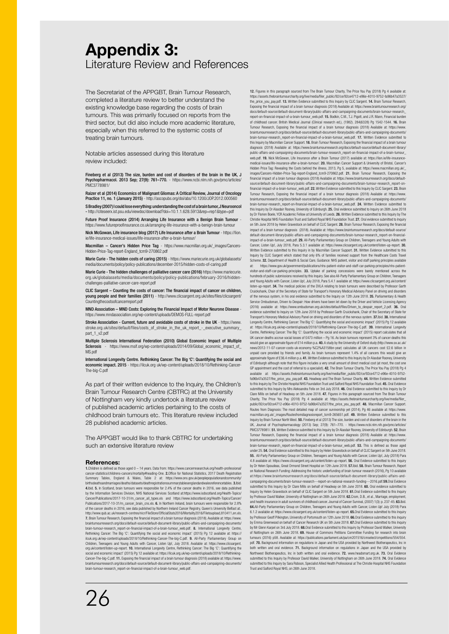# **Appendix 3:** Literature Review and References

The Secretariat of the APPGBT, Brain Tumour Research, completed a literature review to better understand the existing knowledge base regarding the costs of brain tumours. This was primarily focused on reports from the third sector, but did also include more academic literature, especially when this referred to the systemic costs of treating brain tumours.

Notable articles assessed during this literature review included:

Fineberg et al (2013) The size, burden and cost of disorders of the brain in the UK, J Psychopharmacol. 2013 Sep; 27(9): 761–770. - https://www.ncbi.nlm.nih.gov/pmc/articles/ PMC3778981/

Raizer et al (2014) Economics of Malignant Gliomas: A Critical Review, Journal of Oncology Practice 11, no. 1 (January 2015) - http://ascopubs.org/doi/abs/10.1200/JOP.2012.000560 S Bradley (2007) I could lose everything: understanding the cost of a brain tumor, J Neurooncol

- http://citeseerx.ist.psu.edu/viewdoc/download?doi=10.1.1.628.5913&rep=rep1&type=pdf Future Proof Insurance (2014) Arranging Life Insurance with a Benign Brain Tumour

https://www.futureproofinsurance.co.uk/arranging-life-insurance-with-a-benign-brain-tumour Nick McGowan, Life insurance blog (2017) Life Insurance after a Brain Tumour - https://lion.

ie/life-insurance-medical-issues/life-insurance-after-a-brain-tumour/ Macmillan – Cancer's Hidden Price Tag - https://www.macmillan.org.uk/\_images/Cancers-

Hidden-Price-Tag-report-England\_tcm9-270862.pdf

**Marie Curie - The hidden costs of caring (2015)** - https://www.mariecurie.org.uk/globalassets/<br>media/documents/policy/policy-publications/december-2015/hidden-costs-of-caring.pdf

Marie Curie - The hidden challenges of palliative cancer care (2016) https://www.mariecurie. org.uk/globalassets/media/documents/policy/policy-publications/february-2016/hiddenchallenges-palliative-cancer-care-report.pdf

CLIC Sargent – Counting the costs of cancer: The financial impact of cancer on children, young people and their families (2011) - http://www.clicsargent.org.uk/sites/files/clicsargent.org.uk/sites/files/clicsargent.org.uk/sites/files/clicsargent Countingthecostsofcancerreport.pdf

MND Association – MND Costs: Exploring the Financial Impact of Motor Neurone Disease - https://www.mndassociation.org/wp-content/uploads/DEMOS-FULL-report.pdf

Stroke Association - Current, future and avoidable costs of stroke in the UK - https://www. stroke.org.uk/sites/default/files/costs\_of\_stroke\_in\_the\_uk\_report\_-\_executive\_summary\_ part\_1\_v2.pdf

Multiple Sclerosis International Federation (2010) Global Economic Impact of Multiple Sclerosis - https://www.msif.org/wp-content/uploads/2014/09/Global\_economic\_impact\_of\_ MS.pdf

International Longevity Centre. Rethinking Cancer: The Big 'C': Quantifying the social and economic impact. 2015 - https://ilcuk.org uk/wp-content/uploads/2018/10/Rethinking-Cancer-The-big-C.pdf

As part of their written evidence to the Inquiry, the Children's Brain Tumour Research Centre (CBTRC) at the University of Nottingham very kindly undertook a literature review of published academic articles pertaining to the costs of childhood brain tumours etc. This literature review included 28 published academic articles.

The APPGBT would like to thank CBTRC for undertaking such an extensive literature review

#### **References:**

1.Children is defined as those aged 0 – 14 years. Data from: https://www.cancerresearchuk.org/health-professional/ cancer-statistics/childrens-cancers/mortality#heading-One. 2.Office for National Statistics, 2017 Death Registration Summary Tables, England & Wales, Table 2 at: https://www.ons.gov.uk/peoplepopulationandcommunity/ birthsdeathsandmarriages/deaths/datasets/deathregistrationssummarytablesenglandandwalesreferencetables. 3.Ibid.<br>4.Ibid. 5. In Scotland, brain tumours were responsible for 2.4% of the cancer deaths in 2016, see data publish Cancer/Publications/2017-10-31/m\_cancer\_all\_types.xls and https://www.isdscotland.org/Health-Topics/Cancer/<br>Publications/2017-10-31/m\_cancer\_brain\_cns.xls. 6. In Northern Ireland, brain tumours were responsible for 2.8% of the cancer deaths in 2016, see data published by Northern Ireland Cancer Registry, Queen's University Belfast at:.<br>http://www.qub.ac.uk/research-centres/nicr/FileStore/OfficialStats2016/Mortality2016/Filetoupload,810411 7. Brain Tumour Research, Exposing the financial impact of a brain tumour diagnosis (2018). Available at: https://www. braintumourresearch,org/docs/default-source/default-document-library/public-affairs-and-campaigning-documents/<br>brain-tumour-research\_report-on-financial-impact-of-a-brain-tumour\_web.pdf. & . International . Longevity Centt ilcuk.org.uk/wp-content/uploads/2018/10/Rethinking-Cancer-The-big-C.pdf. 9. All-Party Parliamentary Group on Children, Teenagers and Young Adults with Cancer, Listen Up!, July 2018. Available at: https://www.clicsargent. org.uk/content/listen-up-report. **10.** International Longevity Centre, Rethinking Cancer: The Big 'C': Quantifying the<br>social and economic impact' (2015) Pg 12 available at: https://ilcuk.org.uk/wp-content/uploads/2018/10/ Cancer-The-big-C.pdf. 11. Exposing the financial impact of a brain tumour diagnosis (2018) available at: https://www. braintumourresearch.org/docs/default-source/default-document-library/public-affairs-and-campaigning-documents/<br>brain-tumour-research\_report-on-financial-impact-of-a-brain-tumour\_web.pdf.

12. Figures in this paragraph sourced from The Brain Tumour Charity, The Price You Pay (2018) Pg 4 available at https://assets.thebraintumourcharity.org/live/media/filer\_public/92/ce/92ce4712-e96e-4010-9752-fa96b47a3527/ the\_price\_you\_pay.pdf. 13. Written Evidence submitted to this Inquiry by CLIC Sargent. 14. Brain Tumour Research, Exposing the financial impact of a brain tumour diagnosis (2018) Available at: https://www.braintumourresearch.org/ docs/default-source/default-document-library/public-affairs-and-campaigning-documents/brain-tumour-research\_ report-on-financial-impact-of-a-brain-tumour\_web.pdf. 15. Bodkin, C.M., T.J. Pigott, and J.R. Mann, Financial burden of childhood cancer. British Medical Journal (Clinical research ed.), (1982). 284(6328) Pg 1542-1544. **16.** Brain<br>Tumour Research, Exposing the financial impact of a brain tumour diagnosis (2018) Available at: https://www. braintumourresearch.org/docs/default-source/default-document-library/public-affairs-and-campaigning-documents/ brain-tumour-research\_report-on-financial-impact-of-a-brain-tumour\_web.pdf. 17. Written Evidence submitted to this Inquiry by Macmillan Cancer Support. 18. Brain Tumour Research, Exposing the financial impact of a brain tumour diagnosis (2018) Available at: https://www.braintumourresearch.org/docs/default-source/default-document-library<br>public-affairs-and-campaigning-documents/brain-tumour-research\_report-on-financial-impact-of-a-brain-tumour\_ web.pdf. 19. Nick McGowan, Life Insurance after a Brain Tumour (2017) available at: https://lion.ie/life-insurance-<br>medical-issues/life-insurance-after-a-brain-tumour/. 20. Macmillan Cancer Support & University of Bristol, Hidden Price Tag: Revealing the Costs behind the illness, 2013, Pg 5, available at: https://www.macmillan.org.uk/\_ images/Cancers-Hidden-Price-Tag-report-England\_tcm9-270862.pdf. 21. Brain Tumour Research, Exposing the financial impact of a brain tumour diagnosis (2018) Available at: https://www.braintumourresearch.org/docs/default-source/default-document-library/public-affairs-and-campaigning-documents/brain-tumour-research\_report-onfinancial-impact-of-a-brain-tumour\_web.pdf. 22. Written Evidence submitted to this Inquiry by CLIC Sargent. 23. Brain Tumour Research, Exposing the financial impact of a brain tumour diagnosis (2018) Available at: https://www. braintumourresearch.org/docs/default-source/default-document-library/public-affairs-and-campaigning-documents/ brain-tumour-research\_report-on-financial-impact-of-a-brain-tumour\_web.pdf. 24. Written Evidence submitted to<br>this Inquiry by Dr Alasdair Rooney, University of Edinburgh. 25. Oral evidence submitted to Inquiry on 26th June by Dr Florien Boele, YCR Academic Fellow at University of Leeds. 26. Written Evidence submitted to this Inquiry by The Christie Hospital NHS Foundation Trust and Salford Royal NHS Foundation Trust. 27. Oral evidence submitted to Inquiry on 5th June 2018 by Helen Gravestock on behalf of CLIC Sargent. 28. Brain Tumour Research, Exposing the financial impact of a brain tumour diagnosis (2018). Available at: https://www.braintumourresearch.org/docs/default-source/ default-document-library/public-affairs-and-campaigning-documents/brain-tumour-research\_report-on-financialimpact-of-a-brain-tumour\_web.pdf. 29. All-Party Parliamentary Group on Children, Teenagers and Young Adults with<br>Cancer, Listen Up!, July 2018, Para 5.3.1 available at: https://www.clicsargent.org.uk/content/listen-up-repo Written Evidence submitted to this Inquiry in by Macmillan Cancer Support. 31. Written Evidence submitted to this Inquiry by CLIC Sargent which stated that only 6% of families received support from the Healthcare Costs Travel Scheme. 32. Department of Health & Social Care, Guidance: NHS patient, visitor and staff parking principles available at: https://www.gov.uk/government/publications/nhs-patient-visitor-and-staff-car-parking-principles/nhs-patient-visitor-and-staff-car-parking-principles. 33. Uptake of parking concessions were barely mentioned across the hundreds of public submissions received by this Inquiry. See also All-Party Parliamentary Group on Children, Teenagers<br>and Young Adults with Cancer, Listen Up!, July 2018, Para 5.4.1 available at: https://www.clicsargent.o listen-up-report. 34. The medical policies of the DVLA relating to brain tumours were described by Professor Garth<br>Cruickshank, Chair of the Secretary of State for Transport's Honorary Medical Advisory Panel on driving and of the nervous system, in his oral evidence submitted to the Inquiry on 12th June 2018. 35. Parliamentary & Health Service Ombudsman, Driven to Despair: How drivers have been let down by the Driver and Vehicle Licensing Agency<br>(2016) available at: https://www.ombudsman.org.uk/sites/default/files/Driven\_to\_despair\_report\_2.pdf. 36. Oral evidence submitted to Inquiry on 12th June 2018 by Professor Garth Cruickshank, Chair of the Secretary of State for Transport's Honorary Medical Advisory Panel on driving and disorders of the nervous system. 37.Ibid. 38. International Longevity Centre, Rethinking Cancer: The Big 'C': Quantifying the social and economic impact' (2015) Pg 12 available<br>at: https://licuk.org.uk/wp-content/uploads/2018/10/Rethinking-Cancer-The-big-C.pdf. 39. International Lo UK cancer deaths accrue social losses of £473 million – Pg 16. As brain tumours represent 3% of cancer deaths this would give an approximate figure of £14 million p.a. 40. A study by the University of Oxford study (http://www.ox.ac.uk/ news/2012-11-07-cancer-costs-uk-economy-%C2%A3158bn-year) calculates all UK cancers cost £2.6 billion in unpaid care provided by friends and family. As brain tumours represent 1.4% of all cancers this would give an approximate figure of £36.4 million p.a. 41. Written Evidence submitted to this Inquiry by Dr Alasdair Rooney, University<br>of Edinburgh although note that this figure includes a very small amount of direct medical cost (at GP appointment and the cost of referral to a specialist). 42. The Brain Tumour Charity, The Price You Pay (2018) Pg 4 available at: https://assets.thebraintumourcharity.org/live/media/filer\_public/92/ce/92ce4712-e96e-4010-9752- fa96b47a3527/the\_price\_you\_pay.pdf. 43. Headway and The Brain Tumour Charity. 44. Written Evidence submitted to this Inquiry by The Christie Hospital NHS Foundation Trust and Salford Royal NHS Foundation Trust. 45. Oral Evidence submitted to this Inquiry by Mrs Aleksandra Felix on 3rd July 2018. 46. Oral Evidence submitted to this Inquiry by Dr Clare Mills on behalf of Headway on 5th June 2018. 47. Figures in this paragraph sourced from The Brain Tumour Charity, The Price You Pay (2018) Pg 4 available at: https://assets.thebraintumourcharity.org/live/media/filer\_ public/92/ce/92ce4712-e96e-4010-9752-fa96b47a3527/the\_price\_you\_pay.pdf. 48. Macmillan Cancer Support. Routes from Diagnosis: The most detailed map of cancer survivorship yet (2014), Pg 46 available at: https://www.<br>macmillan.org.uk/\_images/Routesfromdiagnosisreport\_tcm9-265651.pdf. 49. Written Evidence submitted to this Inquiry by Brain Tumour North West. **50.** Fineberg et al (2013) The size, burden and cost of disorders of the brain in the<br>UK, Journal of Psychopharmacology (2013) Sep; 27(9): 761–770. - https://www.ncbi.nlm.nih.gov/princ/ Tumour Research, Exposing the financial impact of a brain tumour diagnosis (2018) Available at: https://www. braintumourresearch.org/docs/default-source/default-document-library/public-affairs-and-campaigning-documents/ brain-tumour-research\_report-on-financial-impact-of-a-brain-tumour\_web.pdf. 53. This is defined as those aged<br>under 25.54. Oral Evidence submitted to this Inquiry by Helen Gravestock on behalf of CLIC Sargent on 5th June 2 55. All-Party Parliamentary Group on Children, Teenagers and Young Adults with Cancer, Listen Up!, July (2018) Para<br>4.8 available at: https://www.clicsargent.org.uk/content/listen-up-report. 56. Oral Evidence submitted to by Dr Helen Spoudeas, Great Ormond Street Hospital on 12th June 2018. 57.Ibid. 58. Brain Tumour Research, Report on National Research Funding: Addressing the historic underfunding of brain tumour research (2016), Pg 10 availa at:https://www.braintumourresearch.org/docs/default-source/default-document-library/public-affairs-andcampaigning-documents/brain-tumour-research---report-on-national-research-funding---2016.pdf.59.Oral Evidence submitted to this Inquiry by Dr Clare Mills on behalf of Headway on 5th June 2018. 60. Oral evidence submitted to Inquiry by Helen Gravestock on behalf of CLIC Sargent on 5th June 2018. 61.Oral Evidence submitted to this Inquiry<br>by Professor David Walker, University of Nottingham on 26th June 2018. 62.Crom, D.B., et al., Marriage, emp and health insurance in adult survivors of childhood cancer. Journal of Cancer Survival, (2007) 1(3): p. 237-45. 63.Ibid. 64.All-Party Parliamentary Group on Children, Teenagers and Young Adults with Cancer, Listen Up! July (2018) Para 6.1.2 available at: https://www.clicsargent.org.uk/content/listen-up-report. 65.Oral Evidence submitted to this Inquiry by Professor Geoff Pilkington, University of Portsmouth on 12th June 2018. 66.Oral Evidence submitted to this Inquiry<br>by Emma Greenwood on behalf of Cancer Research UK on 5th June 2018. 67.Oral Evidence submitted to this I by Mr Glenn Karpel on 3rd July 2018. 68.Oral Evidence submitted to this Inquiry by Professor David Walker, University<br>of Nottingham on 26th June 2018. 69. House of Commons Petitions Committee Funding for research into brai tumours (2016) p58. Available at: https://publications.parliament.uk/pa/cm201516/cmselect/cmpetitions/554/554. pdf. 70. Background information on regulations in Japan and the USA provided by Northwest Biotherapeutics, Inc in both written and oral evidence. 71. Background information on regulations in Japan and the USA provided by Northwest Biotherapeutics, Inc in both written and oral evidence. 72. www.headsmart.org.uk. 73. Oral Evidence<br>submitted to this Inquiry by Professor David Walker, University of Nottingham on 26th June 2018. 74. Oral Eviden submitted to this Inquiry by Sara Robson, Specialist Allied Health Professional at The Christie Hospital NHS Foundation

Trust and Salford Royal NHS, on 26th June 2018.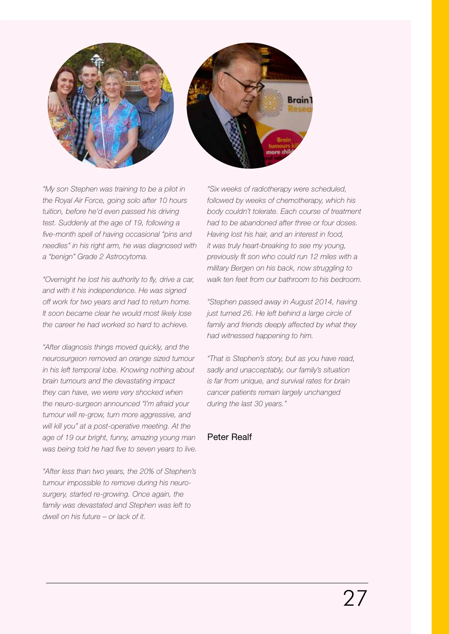

*"My son Stephen was training to be a pilot in the Royal Air Force, going solo after 10 hours tuition, before he'd even passed his driving test. Suddenly at the age of 19, following a five-month spell of having occasional "pins and needles" in his right arm, he was diagnosed with a "benign" Grade 2 Astrocytoma.*

*"Overnight he lost his authority to fly, drive a car, and with it his independence. He was signed off work for two years and had to return home. It soon became clear he would most likely lose the career he had worked so hard to achieve.*

*"After diagnosis things moved quickly, and the neurosurgeon removed an orange sized tumour in his left temporal lobe. Knowing nothing about brain tumours and the devastating impact they can have, we were very shocked when the neuro-surgeon announced "I'm afraid your tumour will re-grow, turn more aggressive, and will kill you" at a post-operative meeting. At the age of 19 our bright, funny, amazing young man was being told he had five to seven years to live.*

*"After less than two years, the 20% of Stephen's tumour impossible to remove during his neurosurgery, started re-growing. Once again, the family was devastated and Stephen was left to dwell on his future – or lack of it.*

*"Six weeks of radiotherapy were scheduled, followed by weeks of chemotherapy, which his body couldn't tolerate. Each course of treatment had to be abandoned after three or four doses. Having lost his hair, and an interest in food, it was truly heart-breaking to see my young, previously fit son who could run 12 miles with a military Bergen on his back, now struggling to walk ten feet from our bathroom to his bedroom.*

*"Stephen passed away in August 2014, having just turned 26. He left behind a large circle of family and friends deeply affected by what they had witnessed happening to him.*

*"That is Stephen's story, but as you have read, sadly and unacceptably, our family's situation is far from unique, and survival rates for brain cancer patients remain largely unchanged during the last 30 years."* 

# Peter Realf